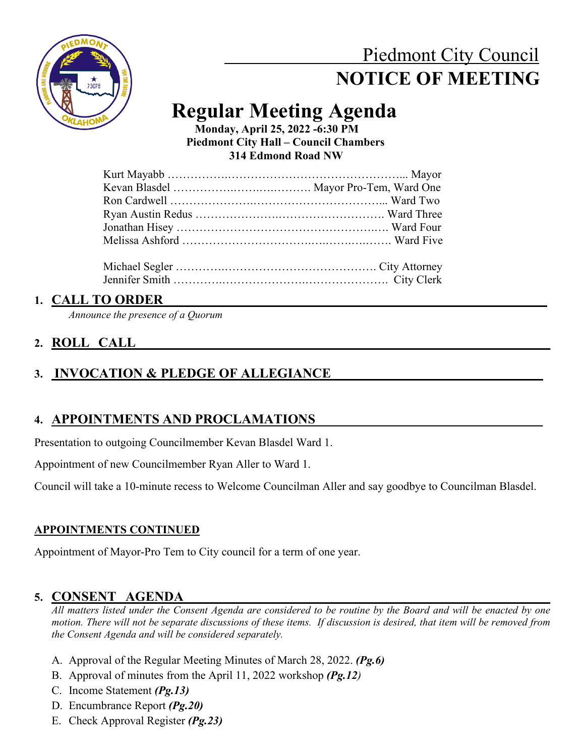# Piedmont City Council  **NOTICE OF MEETING**



# **Regular Meeting Agenda Monday, April 25, 2022 -6:30 PM**

 **Piedmont City Hall – Council Chambers 314 Edmond Road NW**

## **1. CALL TO ORDER**

*Announce the presence of a Quorum*

## **2. ROLL CALL\_\_\_\_\_\_\_\_\_\_\_\_\_\_\_\_\_\_\_\_\_\_\_\_\_\_\_\_\_\_\_\_\_\_\_\_\_\_\_\_\_\_\_\_\_\_\_\_\_\_\_\_\_\_\_\_\_\_\_\_\_\_**

## 3. **INVOCATION & PLEDGE OF ALLEGIANCE**

## **4. APPOINTMENTS AND PROCLAMATIONS\_\_\_\_\_\_\_\_\_\_\_\_\_\_\_\_\_\_\_\_\_\_\_\_\_\_\_\_\_\_\_\_\_\_**

Presentation to outgoing Councilmember Kevan Blasdel Ward 1.

Appointment of new Councilmember Ryan Aller to Ward 1.

Council will take a 10-minute recess to Welcome Councilman Aller and say goodbye to Councilman Blasdel.

## **APPOINTMENTS CONTINUED**

Appointment of Mayor-Pro Tem to City council for a term of one year.

## 5. **CONSENT** AGENDA

*All matters listed under the Consent Agenda are considered to be routine by the Board and will be enacted by one motion. There will not be separate discussions of these items. If discussion is desired, that item will be removed from the Consent Agenda and will be considered separately.*

- A. Approval of the Regular Meeting Minutes of March 28, 2022. *(Pg.6)*
- B. Approval of minutes from the April 11, 2022 workshop *(Pg.12)*
- C. Income Statement *(Pg.13)*
- D. Encumbrance Report *(Pg.20)*
- E. Check Approval Register *(Pg.23)*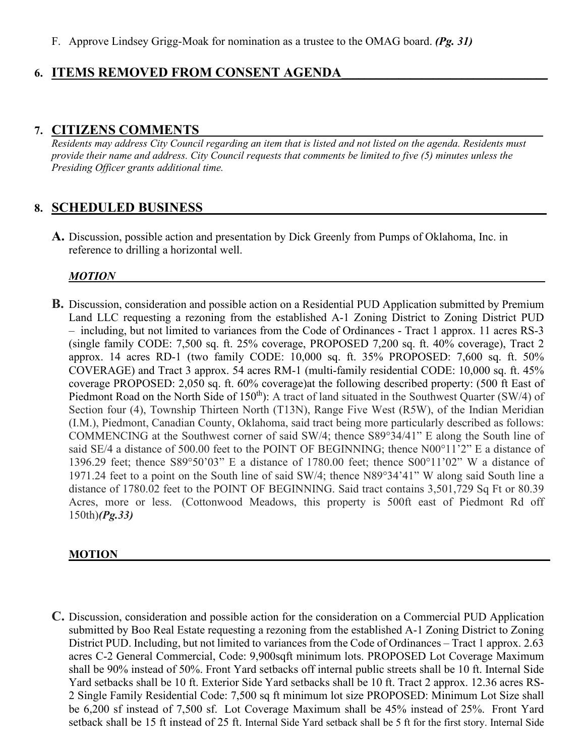F. Approve Lindsey Grigg-Moak for nomination as a trustee to the OMAG board. *(Pg. 31)*

## **6. ITEMS REMOVED FROM CONSENT AGENDA\_\_\_\_\_\_\_\_\_\_\_\_\_\_\_\_\_\_\_\_\_\_\_\_\_\_\_\_\_\_\_\_\_\_\_\_**

## **7. CITIZENS COMMENTS\_\_\_\_\_\_\_\_\_\_\_\_\_\_\_\_\_\_\_\_\_\_\_\_\_\_\_\_\_\_\_\_\_\_\_\_\_\_\_\_\_\_\_\_\_\_\_\_\_\_\_\_\_\_\_\_\_\_\_\_**

*Residents may address City Council regarding an item that is listed and not listed on the agenda. Residents must provide their name and address. City Council requests that comments be limited to five (5) minutes unless the Presiding Officer grants additional time.*

## 8. **SCHEDULED BUSINESS**

**A.** Discussion, possible action and presentation by Dick Greenly from Pumps of Oklahoma, Inc. in reference to drilling a horizontal well.

#### *MOTION\_\_\_\_\_\_\_\_\_\_\_\_\_\_\_\_\_\_\_\_\_\_\_\_\_\_\_\_\_\_\_\_\_\_\_\_\_\_\_\_\_\_\_\_\_\_\_\_\_\_\_\_\_\_\_\_\_\_\_\_\_\_\_\_\_\_\_\_\_\_\_\_\_\_\_*

**B.** Discussion, consideration and possible action on a Residential PUD Application submitted by Premium Land LLC requesting a rezoning from the established A-1 Zoning District to Zoning District PUD – including, but not limited to variances from the Code of Ordinances - Tract 1 approx. 11 acres RS-3 (single family CODE: 7,500 sq. ft. 25% coverage, PROPOSED 7,200 sq. ft. 40% coverage), Tract 2 approx. 14 acres RD-1 (two family CODE: 10,000 sq. ft. 35% PROPOSED: 7,600 sq. ft. 50% COVERAGE) and Tract 3 approx. 54 acres RM-1 (multi-family residential CODE: 10,000 sq. ft. 45% coverage PROPOSED: 2,050 sq. ft. 60% coverage)at the following described property: (500 ft East of Piedmont Road on the North Side of 150<sup>th</sup>): A tract of land situated in the Southwest Quarter (SW/4) of Section four (4), Township Thirteen North (T13N), Range Five West (R5W), of the Indian Meridian (I.M.), Piedmont, Canadian County, Oklahoma, said tract being more particularly described as follows: COMMENCING at the Southwest corner of said SW/4; thence S89°34/41" E along the South line of said SE/4 a distance of 500.00 feet to the POINT OF BEGINNING; thence N00°11'2" E a distance of 1396.29 feet; thence S89°50'03" E a distance of 1780.00 feet; thence S00°11'02" W a distance of 1971.24 feet to a point on the South line of said SW/4; thence N89°34'41" W along said South line a distance of 1780.02 feet to the POINT OF BEGINNING. Said tract contains 3,501,729 Sq Ft or 80.39 Acres, more or less. (Cottonwood Meadows, this property is 500ft east of Piedmont Rd off 150th)*(Pg.33)*

#### **MOTION \_\_\_\_\_\_\_\_\_\_\_\_\_ \_\_\_\_\_\_\_**

**C.** Discussion, consideration and possible action for the consideration on a Commercial PUD Application submitted by Boo Real Estate requesting a rezoning from the established A-1 Zoning District to Zoning District PUD. Including, but not limited to variances from the Code of Ordinances – Tract 1 approx. 2.63 acres C-2 General Commercial, Code: 9,900sqft minimum lots. PROPOSED Lot Coverage Maximum shall be 90% instead of 50%. Front Yard setbacks off internal public streets shall be 10 ft. Internal Side Yard setbacks shall be 10 ft. Exterior Side Yard setbacks shall be 10 ft. Tract 2 approx. 12.36 acres RS-2 Single Family Residential Code: 7,500 sq ft minimum lot size PROPOSED: Minimum Lot Size shall be 6,200 sf instead of 7,500 sf. Lot Coverage Maximum shall be 45% instead of 25%. Front Yard setback shall be 15 ft instead of 25 ft. Internal Side Yard setback shall be 5 ft for the first story. Internal Side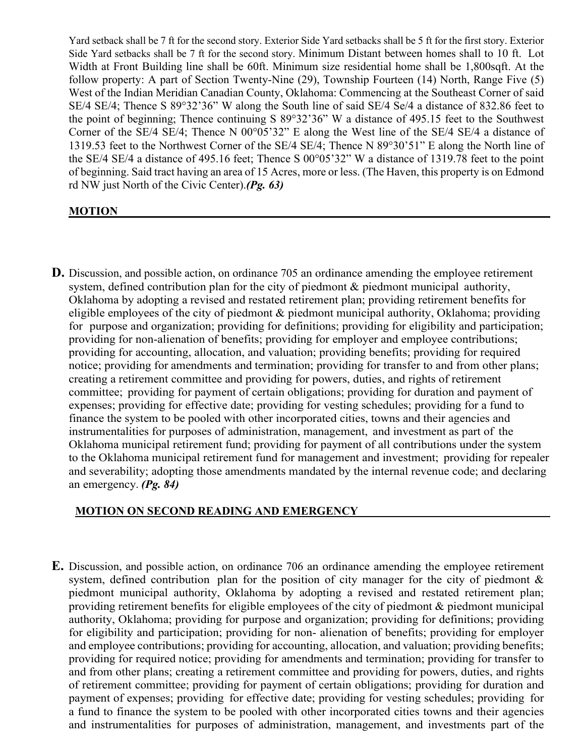Yard setback shall be 7 ft for the second story. Exterior Side Yard setbacks shall be 5 ft for the first story. Exterior Side Yard setbacks shall be 7 ft for the second story. Minimum Distant between homes shall to 10 ft. Lot Width at Front Building line shall be 60ft. Minimum size residential home shall be 1,800sqft. At the follow property: A part of Section Twenty-Nine (29), Township Fourteen (14) North, Range Five (5) West of the Indian Meridian Canadian County, Oklahoma: Commencing at the Southeast Corner of said SE/4 SE/4; Thence S 89°32'36" W along the South line of said SE/4 Se/4 a distance of 832.86 feet to the point of beginning; Thence continuing S 89°32'36" W a distance of 495.15 feet to the Southwest Corner of the SE/4 SE/4; Thence N 00°05'32" E along the West line of the SE/4 SE/4 a distance of 1319.53 feet to the Northwest Corner of the SE/4 SE/4; Thence N 89°30'51" E along the North line of the SE/4 SE/4 a distance of 495.16 feet; Thence S 00°05'32" W a distance of 1319.78 feet to the point of beginning. Said tract having an area of 15 Acres, more or less. (The Haven, this property is on Edmond rd NW just North of the Civic Center).*(Pg. 63)*

#### **MOTION \_\_\_\_\_\_\_\_\_\_\_\_\_ \_\_\_\_\_\_**

**D.** Discussion, and possible action, on ordinance 705 an ordinance amending the employee retirement system, defined contribution plan for the city of piedmont & piedmont municipal authority, Oklahoma by adopting a revised and restated retirement plan; providing retirement benefits for eligible employees of the city of piedmont & piedmont municipal authority, Oklahoma; providing for purpose and organization; providing for definitions; providing for eligibility and participation; providing for non-alienation of benefits; providing for employer and employee contributions; providing for accounting, allocation, and valuation; providing benefits; providing for required notice; providing for amendments and termination; providing for transfer to and from other plans; creating a retirement committee and providing for powers, duties, and rights of retirement committee; providing for payment of certain obligations; providing for duration and payment of expenses; providing for effective date; providing for vesting schedules; providing for a fund to finance the system to be pooled with other incorporated cities, towns and their agencies and instrumentalities for purposes of administration, management, and investment as part of the Oklahoma municipal retirement fund; providing for payment of all contributions under the system to the Oklahoma municipal retirement fund for management and investment; providing for repealer and severability; adopting those amendments mandated by the internal revenue code; and declaring an emergency. *(Pg. 84)*

#### **MOTION ON SECOND READING AND EMERGENCY**

**E.** Discussion, and possible action, on ordinance 706 an ordinance amending the employee retirement system, defined contribution plan for the position of city manager for the city of piedmont & piedmont municipal authority, Oklahoma by adopting a revised and restated retirement plan; providing retirement benefits for eligible employees of the city of piedmont & piedmont municipal authority, Oklahoma; providing for purpose and organization; providing for definitions; providing for eligibility and participation; providing for non- alienation of benefits; providing for employer and employee contributions; providing for accounting, allocation, and valuation; providing benefits; providing for required notice; providing for amendments and termination; providing for transfer to and from other plans; creating a retirement committee and providing for powers, duties, and rights of retirement committee; providing for payment of certain obligations; providing for duration and payment of expenses; providing for effective date; providing for vesting schedules; providing for a fund to finance the system to be pooled with other incorporated cities towns and their agencies and instrumentalities for purposes of administration, management, and investments part of the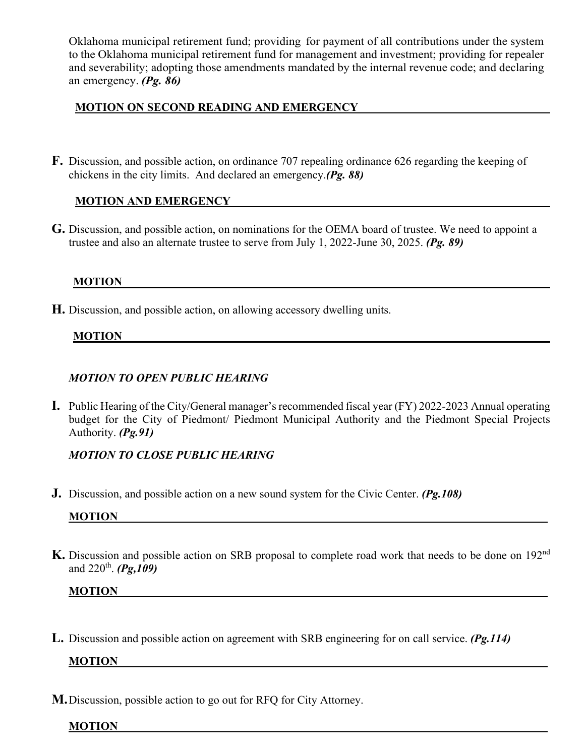Oklahoma municipal retirement fund; providing for payment of all contributions under the system to the Oklahoma municipal retirement fund for management and investment; providing for repealer and severability; adopting those amendments mandated by the internal revenue code; and declaring an emergency. *(Pg. 86)*

#### **MOTION ON SECOND READING AND EMERGENCY \_\_\_\_\_\_**

**F.** Discussion, and possible action, on ordinance 707 repealing ordinance 626 regarding the keeping of chickens in the city limits. And declared an emergency.*(Pg. 88)*

### **MOTION AND EMERGENCY\_\_\_\_\_\_\_\_\_\_\_\_\_\_\_\_\_\_\_\_\_\_ \_\_\_\_\_\_**

**G.** Discussion, and possible action, on nominations for the OEMA board of trustee. We need to appoint a trustee and also an alternate trustee to serve from July 1, 2022-June 30, 2025. *(Pg. 89)*

## **MOTION \_\_\_\_\_\_ \_\_\_\_\_\_\_\_\_\_\_\_**

**H.** Discussion, and possible action, on allowing accessory dwelling units.

#### **MOTION \_\_\_\_\_\_\_\_\_\_\_\_\_\_\_\_\_\_**

#### *MOTION TO OPEN PUBLIC HEARING*

**I.** Public Hearing of the City/General manager's recommended fiscal year (FY) 2022-2023 Annual operating budget for the City of Piedmont/ Piedmont Municipal Authority and the Piedmont Special Projects Authority. *(Pg.91)*

## *MOTION TO CLOSE PUBLIC HEARING*

**J.** Discussion, and possible action on a new sound system for the Civic Center. *(Pg.108)*

## **MOTION**

**K.** Discussion and possible action on SRB proposal to complete road work that needs to be done on 192nd and 220th. *(Pg,109)*

#### **MOTION**

**L.** Discussion and possible action on agreement with SRB engineering for on call service. *(Pg.114)*

#### **MOTION**

**M.**Discussion, possible action to go out for RFQ for City Attorney.

#### **MOTION**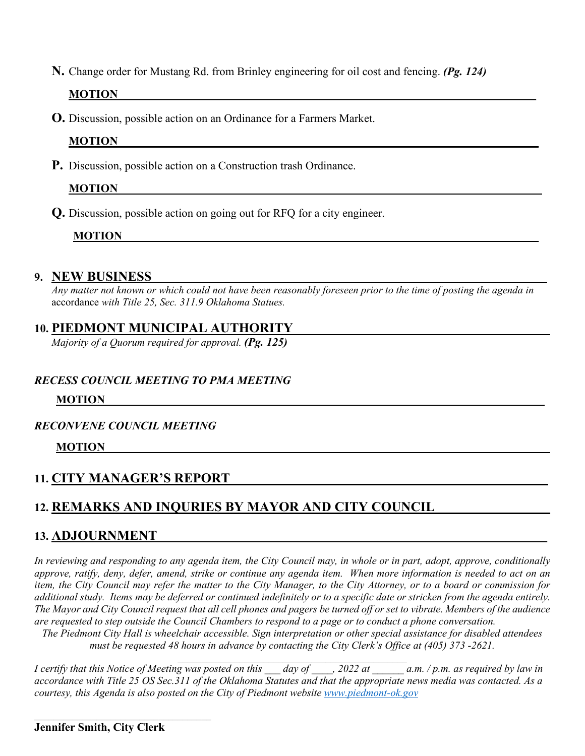**N.** Change order for Mustang Rd. from Brinley engineering for oil cost and fencing. *(Pg. 124)*

## **MOTION**

**O.** Discussion, possible action on an Ordinance for a Farmers Market.

### **MOTION \_\_\_\_\_ \_\_\_\_\_\_\_\_\_\_\_\_\_\_\_\_\_\_\_\_\_\_**

**P.** Discussion, possible action on a Construction trash Ordinance.

## **MOTION**

**Q.** Discussion, possible action on going out for RFQ for a city engineer.

## **MOTION \_\_\_\_\_\_\_\_\_\_\_\_\_\_\_\_\_\_\_\_\_\_**

### **9. NEW BUSINESS\_\_\_\_\_\_\_\_\_\_\_\_\_\_\_\_\_\_\_\_\_\_\_\_\_\_\_\_\_\_\_\_\_\_\_\_\_\_\_\_\_\_\_\_\_\_\_\_\_\_\_\_\_\_\_\_\_\_\_\_\_\_\_\_\_\_\_\_\_**

*Any matter not known or which could not have been reasonably foreseen prior to the time of posting the agenda in*  accordance *with Title 25, Sec. 311.9 Oklahoma Statues.*

## **10. PIEDMONT MUNICIPAL AUTHORITY**

*Majority of a Quorum required for approval. (Pg. 125)*

#### *RECESS COUNCIL MEETING TO PMA MEETING*

#### **MOTION \_\_\_\_\_\_\_\_\_\_\_\_\_\_\_\_\_\_\_\_\_\_\_\_\_\_\_\_\_\_\_\_\_\_\_\_\_\_\_\_\_\_\_\_\_\_\_**

#### *RECONVENE COUNCIL MEETING*

#### **MOTION \_\_\_\_\_\_\_\_\_\_\_\_\_\_\_\_\_\_\_\_\_\_\_\_\_\_\_\_\_\_\_\_\_\_\_\_\_\_\_\_\_\_\_\_\_\_\_\_**

## **11. CITY MANAGER'S REPORT\_\_\_\_\_\_\_\_\_\_\_\_\_\_\_\_\_\_\_\_\_\_\_\_\_\_\_\_\_\_\_\_\_\_\_\_\_\_\_\_\_\_\_\_\_\_\_\_\_\_\_\_\_ \_**

## **12. REMARKS AND INQURIES BY MAYOR AND CITY COUNCIL \_\_\_\_\_\_\_\_\_\_\_\_**

## **13. ADJOURNMENT \_\_\_\_\_\_\_\_\_\_ \_**

*In reviewing and responding to any agenda item, the City Council may, in whole or in part, adopt, approve, conditionally approve, ratify, deny, defer, amend, strike or continue any agenda item. When more information is needed to act on an item, the City Council may refer the matter to the City Manager, to the City Attorney, or to a board or commission for additional study. Items may be deferred or continued indefinitely or to a specific date or stricken from the agenda entirely. The Mayor and City Council request that all cell phones and pagers be turned off or set to vibrate. Members of the audience are requested to step outside the Council Chambers to respond to a page or to conduct a phone conversation.* 

*The Piedmont City Hall is wheelchair accessible. Sign interpretation or other special assistance for disabled attendees must be requested 48 hours in advance by contacting the City Clerk's Office at (405) 373 -2621.*   $\mathcal{L}_\mathcal{L} = \{ \mathcal{L}_\mathcal{L} = \{ \mathcal{L}_\mathcal{L} = \{ \mathcal{L}_\mathcal{L} = \{ \mathcal{L}_\mathcal{L} = \{ \mathcal{L}_\mathcal{L} = \{ \mathcal{L}_\mathcal{L} = \{ \mathcal{L}_\mathcal{L} = \{ \mathcal{L}_\mathcal{L} = \{ \mathcal{L}_\mathcal{L} = \{ \mathcal{L}_\mathcal{L} = \{ \mathcal{L}_\mathcal{L} = \{ \mathcal{L}_\mathcal{L} = \{ \mathcal{L}_\mathcal{L} = \{ \mathcal{L}_\mathcal{$ 

*I certify that this Notice of Meeting was posted on this \_\_\_ day of \_\_\_\_, 2022 at \_\_\_\_\_\_ a.m. / p.m. as required by law in accordance with Title 25 OS Sec.311 of the Oklahoma Statutes and that the appropriate news media was contacted. As a courtesy, this Agenda is also posted on the City of Piedmont website [www.piedmont-ok.gov](http://www.piedmont-ok.gov/)*

 $\mathcal{L}_\mathcal{L}$  , and the set of the set of the set of the set of the set of the set of the set of the set of the set of the set of the set of the set of the set of the set of the set of the set of the set of the set of th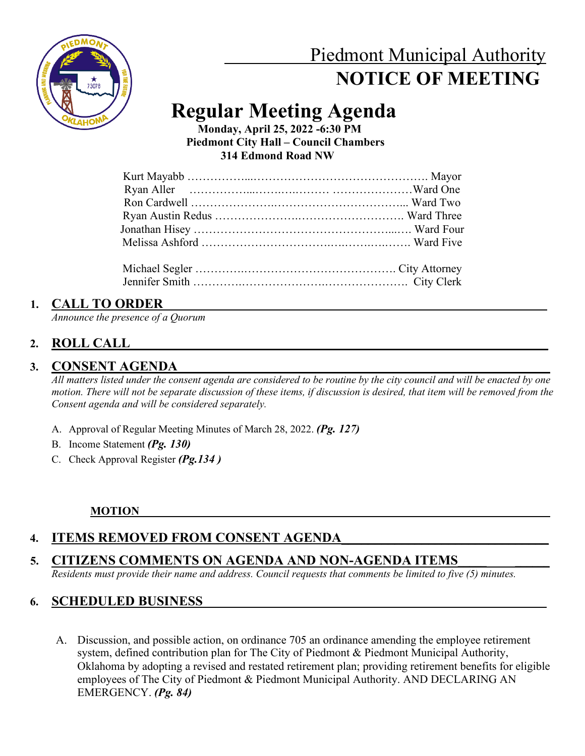

# Piedmont Municipal Authority  **NOTICE OF MEETING**

# **Regular Meeting Agenda**

 **Monday, April 25, 2022 -6:30 PM Piedmont City Hall – Council Chambers 314 Edmond Road NW**

Jennifer Smith ………….………………….…………………. City Clerk

## 1. CALL TO ORDER

*Announce the presence of a Quorum*

## **2. ROLL CALL\_\_\_\_\_\_\_\_\_\_\_\_\_\_\_\_\_\_\_\_\_\_\_\_\_\_\_\_\_\_\_\_\_\_\_\_\_\_\_\_\_\_\_\_\_\_\_\_\_\_\_\_\_\_\_\_\_\_\_\_\_\_\_\_\_\_\_\_\_\_\_\_\_**

## 3. CONSENT AGENDA

*All matters listed under the consent agenda are considered to be routine by the city council and will be enacted by one motion. There will not be separate discussion of these items, if discussion is desired, that item will be removed from the Consent agenda and will be considered separately.*

- A. Approval of Regular Meeting Minutes of March 28, 2022. *(Pg. 127)*
- B. Income Statement *(Pg. 130)*
- C. Check Approval Register *(Pg.134 )*

## **MOTION**

## **4. ITEMS REMOVED FROM CONSENT AGENDA**

## 5. CITIZENS COMMENTS ON AGENDA AND NON-AGENDA ITEMS

*Residents must provide their name and address. Council requests that comments be limited to five (5) minutes.*

## **6. SCHEDULED BUSINESS**

A. Discussion, and possible action, on ordinance 705 an ordinance amending the employee retirement system, defined contribution plan for The City of Piedmont & Piedmont Municipal Authority, Oklahoma by adopting a revised and restated retirement plan; providing retirement benefits for eligible employees of The City of Piedmont & Piedmont Municipal Authority. AND DECLARING AN EMERGENCY. *(Pg. 84)*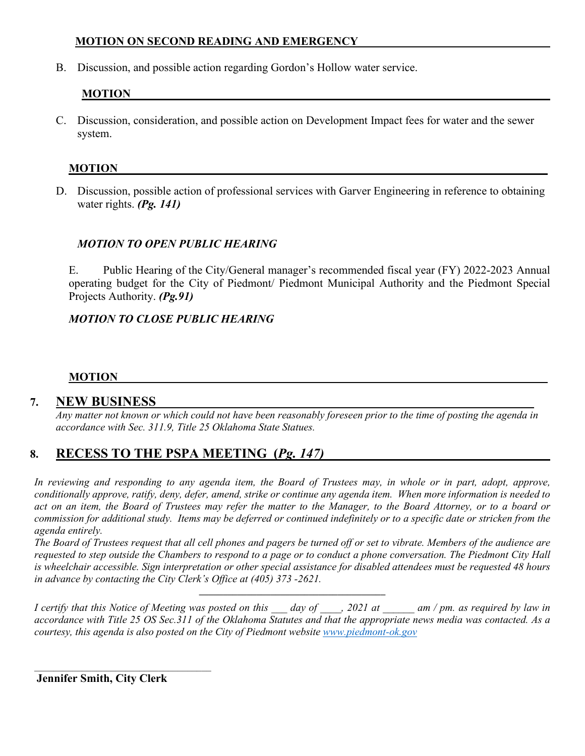#### **MOTION ON SECOND READING AND EMERGENCY**

B. Discussion, and possible action regarding Gordon's Hollow water service.

## **MOTION \_\_\_\_\_\_\_\_\_\_\_\_\_\_\_\_\_\_ \_\_\_\_\_**

C. Discussion, consideration, and possible action on Development Impact fees for water and the sewer system.

### **MOTION**

D. Discussion, possible action of professional services with Garver Engineering in reference to obtaining water rights. *(Pg. 141)*

### *MOTION TO OPEN PUBLIC HEARING*

E. Public Hearing of the City/General manager's recommended fiscal year (FY) 2022-2023 Annual operating budget for the City of Piedmont/ Piedmont Municipal Authority and the Piedmont Special Projects Authority. *(Pg.91)*

### *MOTION TO CLOSE PUBLIC HEARING*

#### **MOTION**

## 7. **NEW BUSINESS**

*Any matter not known or which could not have been reasonably foreseen prior to the time of posting the agenda in accordance with Sec. 311.9, Title 25 Oklahoma State Statues.* 

## 8. **RECESS TO THE PSPA MEETING** (*Pg. 147*)

In reviewing and responding to any agenda item, the Board of Trustees may, in whole or in part, adopt, approve, *conditionally approve, ratify, deny, defer, amend, strike or continue any agenda item. When more information is needed to*  act on an item, the Board of Trustees may refer the matter to the Manager, to the Board Attorney, or to a board or *commission for additional study. Items may be deferred or continued indefinitely or to a specific date or stricken from the agenda entirely.*

*The Board of Trustees request that all cell phones and pagers be turned off or set to vibrate. Members of the audience are requested to step outside the Chambers to respond to a page or to conduct a phone conversation. The Piedmont City Hall is wheelchair accessible. Sign interpretation or other special assistance for disabled attendees must be requested 48 hours in advance by contacting the City Clerk's Office at (405) 373 -2621.* 

*I certify that this Notice of Meeting was posted on this day of , 2021 at am / pm. as required by law in accordance with Title 25 OS Sec.311 of the Oklahoma Statutes and that the appropriate news media was contacted. As a courtesy, this agenda is also posted on the City of Piedmont website [www.piedmont-ok.gov](http://www.piedmont-ok.gov/)*

**\_\_\_\_\_\_\_\_\_\_\_\_\_\_\_\_\_\_\_\_\_\_\_\_\_\_\_\_\_\_\_\_\_\_\_\_\_\_\_**

**Jennifer Smith, City Clerk**

 $\mathcal{L}_\mathcal{L}$  , and the set of the set of the set of the set of the set of the set of the set of the set of the set of the set of the set of the set of the set of the set of the set of the set of the set of the set of th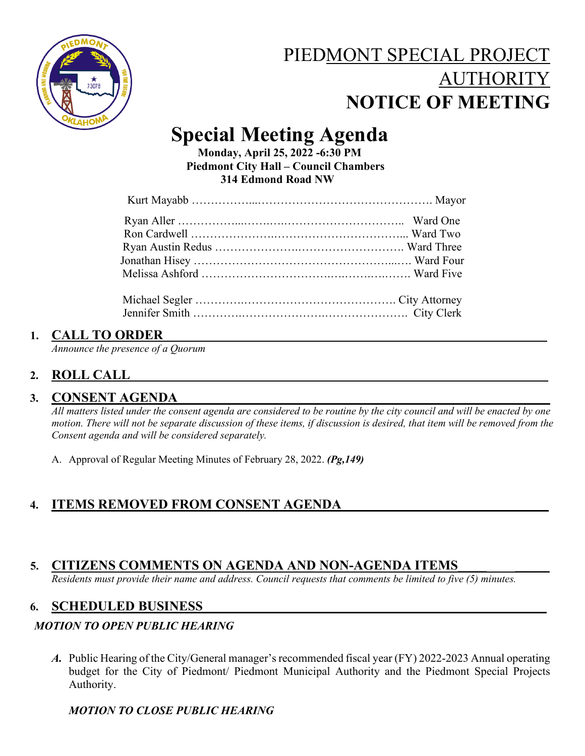

# PIEDMONT SPECIAL PROJECT AUTHORITY  **NOTICE OF MEETING**

# **Special Meeting Agenda Monday, April 25, 2022 -6:30 PM**

 **Piedmont City Hall – Council Chambers 314 Edmond Road NW**

## 1. **CALL TO ORDER**

*Announce the presence of a Quorum*

## **2. ROLL CALL\_\_\_\_\_\_\_\_\_\_\_\_\_\_\_\_\_\_\_\_\_\_\_\_\_\_\_\_\_\_\_\_\_\_\_\_\_\_\_\_\_\_\_\_\_\_\_\_\_\_\_\_\_\_\_\_\_\_\_\_\_\_\_\_\_\_\_\_\_\_\_\_\_**

## 3. CONSENT AGENDA

*All matters listed under the consent agenda are considered to be routine by the city council and will be enacted by one motion. There will not be separate discussion of these items, if discussion is desired, that item will be removed from the Consent agenda and will be considered separately.*

A. Approval of Regular Meeting Minutes of February 28, 2022. *(Pg,149)*

## **4. ITEMS REMOVED FROM CONSENT AGENDA\_\_\_\_\_\_\_\_\_\_\_\_\_\_\_\_\_\_\_\_\_\_\_\_\_\_\_\_\_\_\_**

## 5. CITIZENS COMMENTS ON AGENDA AND NON-AGENDA ITEMS

*Residents must provide their name and address. Council requests that comments be limited to five (5) minutes.*

## **6. SCHEDULED BUSINESS**

## *MOTION TO OPEN PUBLIC HEARING*

*A.* Public Hearing of the City/General manager's recommended fiscal year (FY) 2022-2023 Annual operating budget for the City of Piedmont/ Piedmont Municipal Authority and the Piedmont Special Projects Authority.

## *MOTION TO CLOSE PUBLIC HEARING*